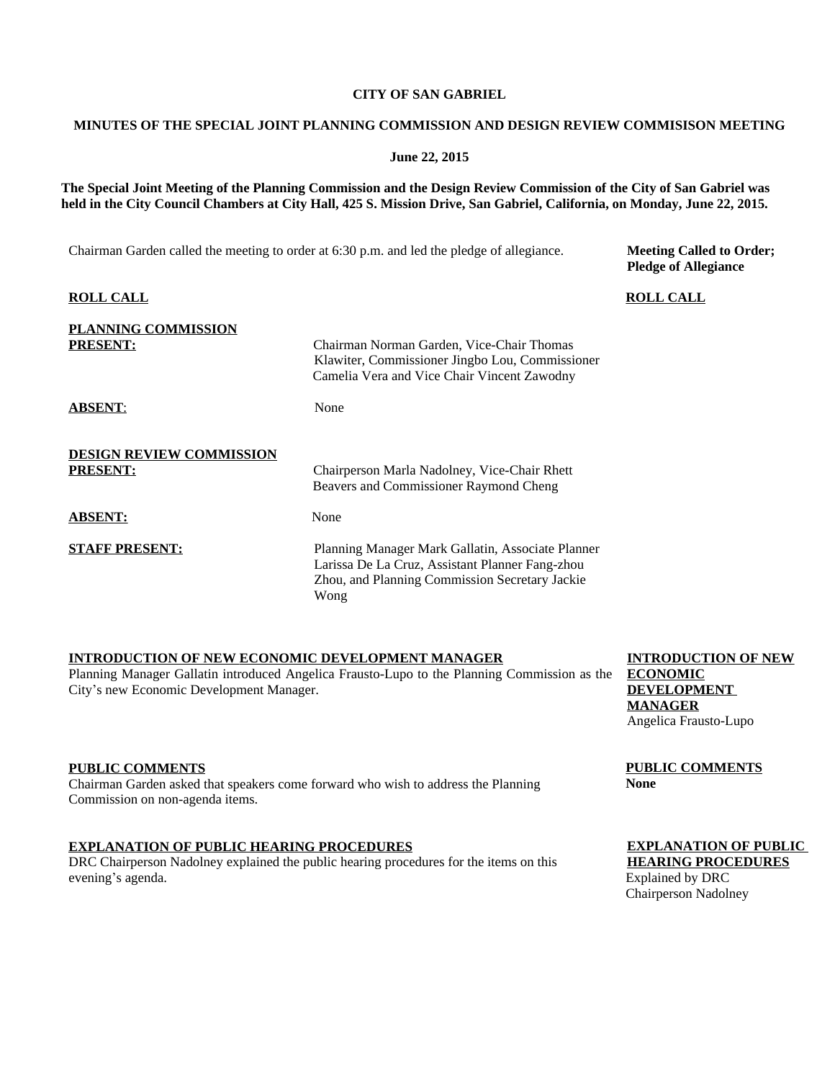## **CITY OF SAN GABRIEL**

## **MINUTES OF THE SPECIAL JOINT PLANNING COMMISSION AND DESIGN REVIEW COMMISISON MEETING**

### **June 22, 2015**

**The Special Joint Meeting of the Planning Commission and the Design Review Commission of the City of San Gabriel was held in the City Council Chambers at City Hall, 425 S. Mission Drive, San Gabriel, California, on Monday, June 22, 2015.**

Chairman Garden called the meeting to order at 6:30 p.m. and led the pledge of allegiance.

**Meeting Called to Order; Pledge of Allegiance**

| <b>ROLL CALL</b>                                   |                                                                                                                                                                | <b>ROLL CALL</b> |
|----------------------------------------------------|----------------------------------------------------------------------------------------------------------------------------------------------------------------|------------------|
| <b>PLANNING COMMISSION</b><br><b>PRESENT:</b>      | Chairman Norman Garden, Vice-Chair Thomas<br>Klawiter, Commissioner Jingbo Lou, Commissioner<br>Camelia Vera and Vice Chair Vincent Zawodny                    |                  |
| <b>ABSENT:</b>                                     | None                                                                                                                                                           |                  |
| <b>DESIGN REVIEW COMMISSION</b><br><b>PRESENT:</b> | Chairperson Marla Nadolney, Vice-Chair Rhett<br>Beavers and Commissioner Raymond Cheng                                                                         |                  |
| <b>ABSENT:</b>                                     | None                                                                                                                                                           |                  |
| <b>STAFF PRESENT:</b>                              | Planning Manager Mark Gallatin, Associate Planner<br>Larissa De La Cruz, Assistant Planner Fang-zhou<br>Zhou, and Planning Commission Secretary Jackie<br>Wong |                  |

## **INTRODUCTION OF NEW ECONOMIC DEVELOPMENT MANAGER**

Planning Manager Gallatin introduced Angelica Frausto-Lupo to the Planning Commission as the **ECONOMIC** City's new Economic Development Manager.

## **PUBLIC COMMENTS**

Chairman Garden asked that speakers come forward who wish to address the Planning Commission on non-agenda items.

## **EXPLANATION OF PUBLIC HEARING PROCEDURES**

DRC Chairperson Nadolney explained the public hearing procedures for the items on this evening's agenda.

**INTRODUCTION OF NEW DEVELOPMENT MANAGER** Angelica Frausto-Lupo

**PUBLIC COMMENTS None**

## **EXPLANATION OF PUBLIC HEARING PROCEDURES**

Explained by DRC Chairperson Nadolney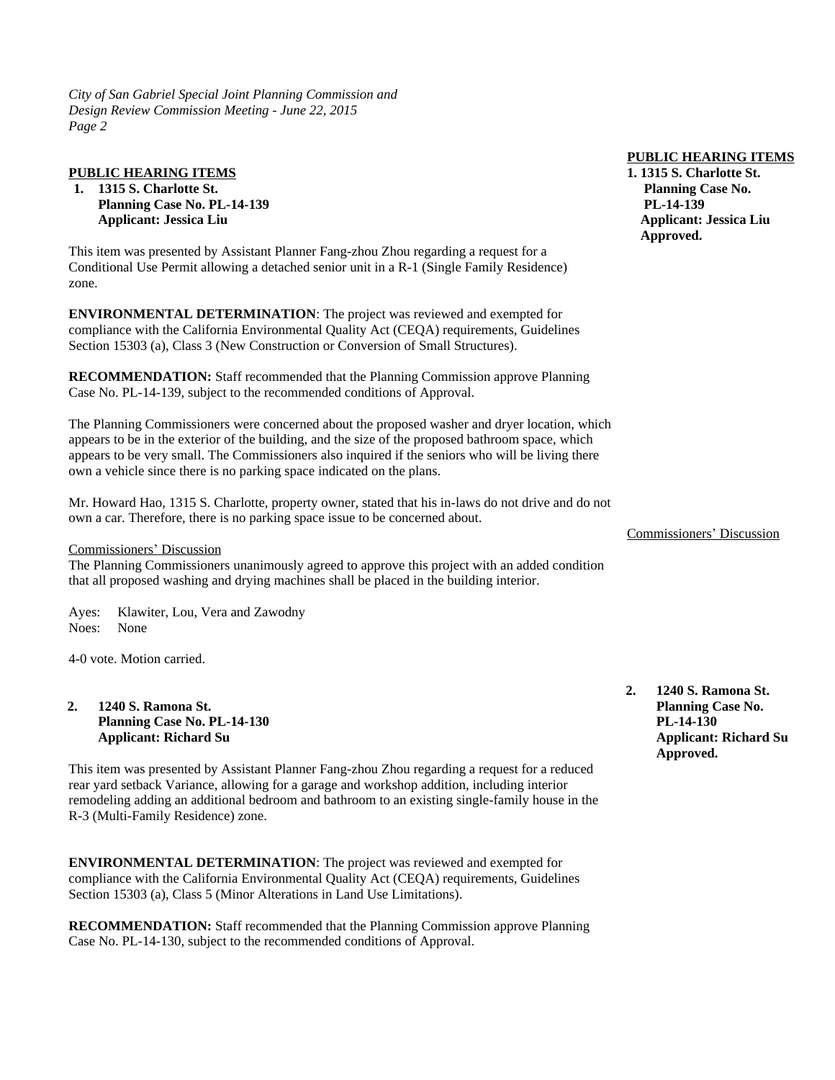*City of San Gabriel Special Joint Planning Commission and Design Review Commission Meeting* - *June 22, 2015 Page 2*

## **PUBLIC HEARING ITEMS**

**1. 1315 S. Charlotte St. Planning Case No. PL-14-139 Applicant: Jessica Liu**

This item was presented by Assistant Planner Fang-zhou Zhou regarding a request for a Conditional Use Permit allowing a detached senior unit in a R-1 (Single Family Residence) zone.

**ENVIRONMENTAL DETERMINATION**: The project was reviewed and exempted for compliance with the California Environmental Quality Act (CEQA) requirements, Guidelines Section 15303 (a), Class 3 (New Construction or Conversion of Small Structures).

**RECOMMENDATION:** Staff recommended that the Planning Commission approve Planning Case No. PL-14-139, subject to the recommended conditions of Approval.

The Planning Commissioners were concerned about the proposed washer and dryer location, which appears to be in the exterior of the building, and the size of the proposed bathroom space, which appears to be very small. The Commissioners also inquired if the seniors who will be living there own a vehicle since there is no parking space indicated on the plans.

Mr. Howard Hao, 1315 S. Charlotte, property owner, stated that his in-laws do not drive and do not own a car. Therefore, there is no parking space issue to be concerned about.

### Commissioners' Discussion

The Planning Commissioners unanimously agreed to approve this project with an added condition that all proposed washing and drying machines shall be placed in the building interior.

Ayes: Klawiter, Lou, Vera and Zawodny Noes: None

4-0 vote. Motion carried.

## **2. 1240 S. Ramona St. Planning Case No. PL-14-130 Applicant: Richard Su**

This item was presented by Assistant Planner Fang-zhou Zhou regarding a request for a reduced rear yard setback Variance, allowing for a garage and workshop addition, including interior remodeling adding an additional bedroom and bathroom to an existing single-family house in the R-3 (Multi-Family Residence) zone.

**ENVIRONMENTAL DETERMINATION**: The project was reviewed and exempted for compliance with the California Environmental Quality Act (CEQA) requirements, Guidelines Section 15303 (a), Class 5 (Minor Alterations in Land Use Limitations).

**RECOMMENDATION:** Staff recommended that the Planning Commission approve Planning Case No. PL-14-130, subject to the recommended conditions of Approval.

#### **PUBLIC HEARING ITEMS**

**1. 1315 S. Charlotte St. Planning Case No. PL-14-139 Applicant: Jessica Liu Approved.**

Commissioners' Discussion

**2. 1240 S. Ramona St. Planning Case No. PL-14-130 Applicant: Richard Su Approved.**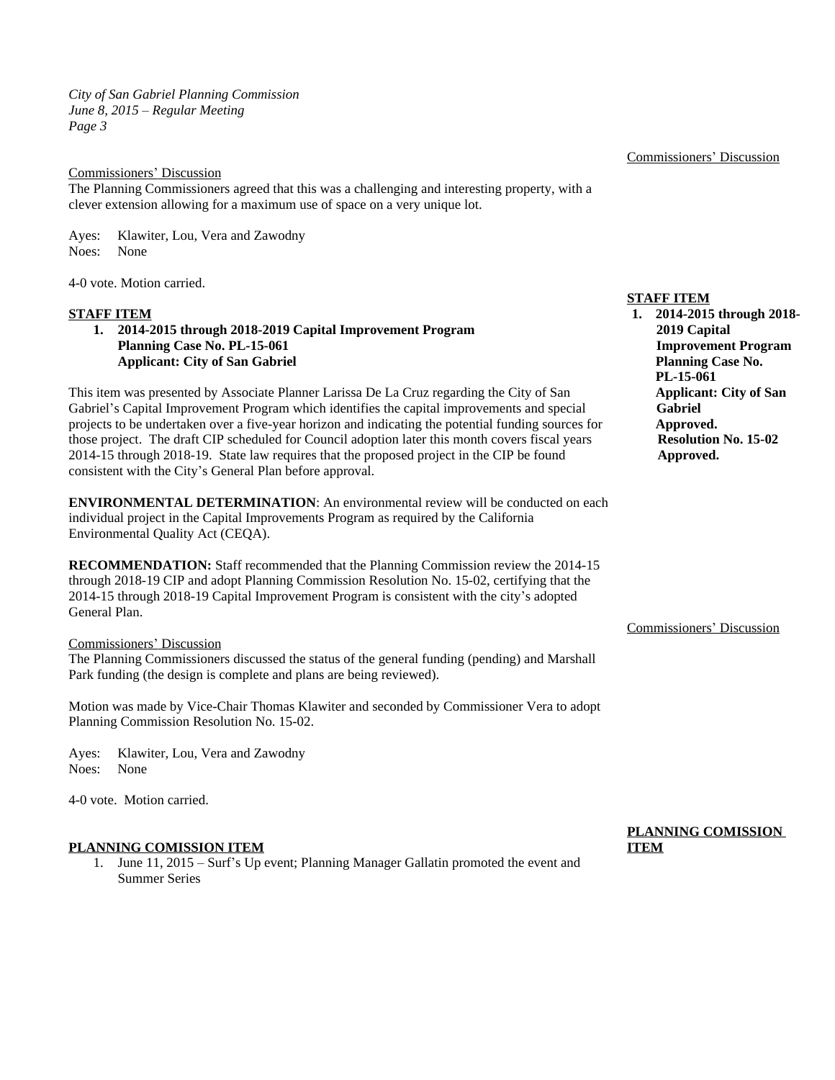*City of San Gabriel Planning Commission June 8, 2015 – Regular Meeting Page 3*

## Commissioners' Discussion

The Planning Commissioners agreed that this was a challenging and interesting property, with a clever extension allowing for a maximum use of space on a very unique lot.

Ayes: Klawiter, Lou, Vera and Zawodny Noes: None

4-0 vote. Motion carried.

### **STAFF ITEM**

**1. 2014-2015 through 2018-2019 Capital Improvement Program Planning Case No. PL-15-061 Applicant: City of San Gabriel**

This item was presented by Associate Planner Larissa De La Cruz regarding the City of San Gabriel's Capital Improvement Program which identifies the capital improvements and special projects to be undertaken over a five-year horizon and indicating the potential funding sources for those project. The draft CIP scheduled for Council adoption later this month covers fiscal years 2014-15 through 2018-19. State law requires that the proposed project in the CIP be found consistent with the City's General Plan before approval.

**ENVIRONMENTAL DETERMINATION**: An environmental review will be conducted on each individual project in the Capital Improvements Program as required by the California Environmental Quality Act (CEQA).

**RECOMMENDATION:** Staff recommended that the Planning Commission review the 2014-15 through 2018-19 CIP and adopt Planning Commission Resolution No. 15-02, certifying that the 2014-15 through 2018-19 Capital Improvement Program is consistent with the city's adopted General Plan.

#### Commissioners' Discussion

The Planning Commissioners discussed the status of the general funding (pending) and Marshall Park funding (the design is complete and plans are being reviewed).

Motion was made by Vice-Chair Thomas Klawiter and seconded by Commissioner Vera to adopt Planning Commission Resolution No. 15-02.

Ayes: Klawiter, Lou, Vera and Zawodny Noes: None

4-0 vote. Motion carried.

## **PLANNING COMISSION ITEM**

1. June 11, 2015 – Surf's Up event; Planning Manager Gallatin promoted the event and Summer Series

Commissioners' Discussion

**STAFF ITEM**

**1. 2014-2015 through 2018- 2019 Capital Improvement Program Planning Case No. PL-15-061 Applicant: City of San Gabriel Approved. Resolution No. 15-02 Approved.**

#### Commissioners' Discussion

# **PLANNING COMISSION ITEM**